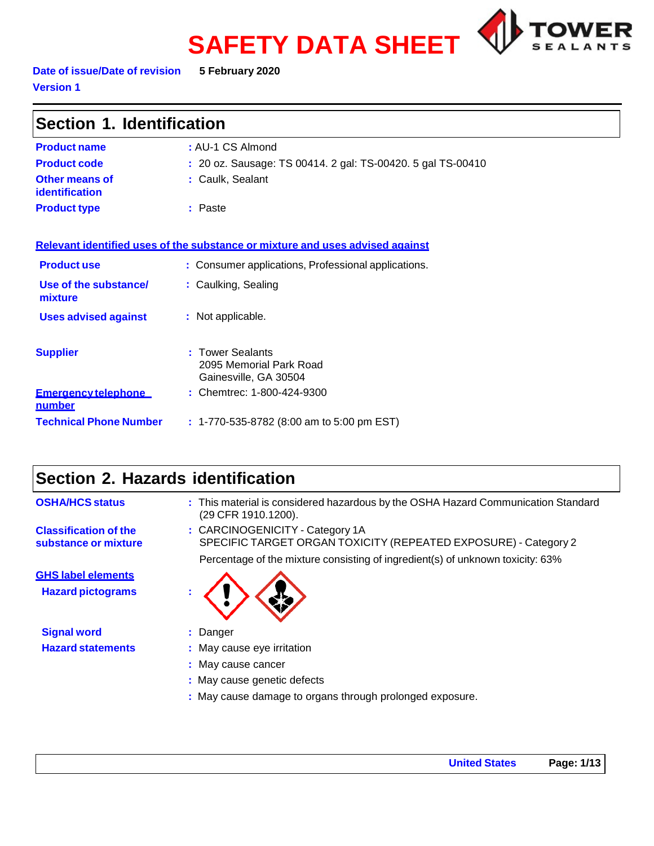# **SAFETY DATA SHEET**



**Date of issue/Date of revision 5 February 2020 Version 1**

| Section 1. Identification                                                     |                                                                           |  |
|-------------------------------------------------------------------------------|---------------------------------------------------------------------------|--|
| <b>Product name</b>                                                           | : AU-1 CS Almond                                                          |  |
| <b>Product code</b>                                                           | : 20 oz. Sausage: TS 00414. 2 gal: TS-00420. 5 gal TS-00410               |  |
| Other means of<br>identification                                              | : Caulk, Sealant                                                          |  |
| <b>Product type</b>                                                           | : Paste                                                                   |  |
| Relevant identified uses of the substance or mixture and uses advised against |                                                                           |  |
| <b>Product use</b>                                                            | : Consumer applications, Professional applications.                       |  |
| Use of the substance/<br>mixture                                              | : Caulking, Sealing                                                       |  |
| <b>Uses advised against</b>                                                   | : Not applicable.                                                         |  |
| <b>Supplier</b>                                                               | <b>Tower Sealants</b><br>2095 Memorial Park Road<br>Gainesville, GA 30504 |  |
| <b>Emergency telephone</b><br><u>number</u>                                   | : Chemtrec: 1-800-424-9300                                                |  |
| <b>Technical Phone Number</b>                                                 | $: 1-770-535-8782$ (8:00 am to 5:00 pm EST)                               |  |

# **Section 2. Hazards identification**

| <b>OSHA/HCS status</b>                               | : This material is considered hazardous by the OSHA Hazard Communication Standard<br>(29 CFR 1910.1200). |
|------------------------------------------------------|----------------------------------------------------------------------------------------------------------|
| <b>Classification of the</b><br>substance or mixture | : CARCINOGENICITY - Category 1A<br>SPECIFIC TARGET ORGAN TOXICITY (REPEATED EXPOSURE) - Category 2       |
|                                                      | Percentage of the mixture consisting of ingredient(s) of unknown toxicity: 63%                           |
| <b>GHS label elements</b>                            |                                                                                                          |
| <b>Hazard pictograms</b>                             |                                                                                                          |
| <b>Signal word</b>                                   | : Danger                                                                                                 |
| <b>Hazard statements</b>                             | : May cause eye irritation                                                                               |
|                                                      | : May cause cancer                                                                                       |
|                                                      | : May cause genetic defects                                                                              |
|                                                      | : May cause damage to organs through prolonged exposure.                                                 |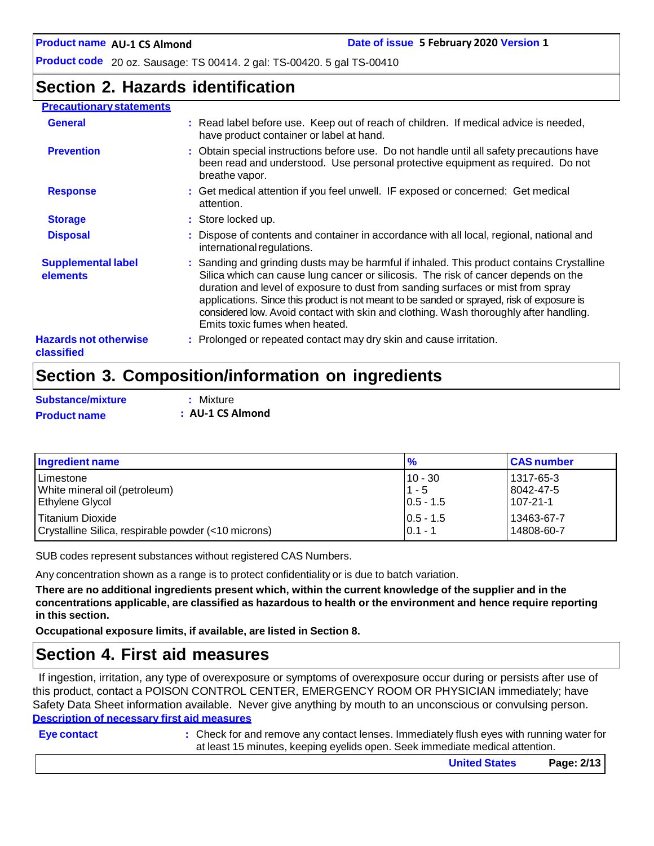# **Section 2. Hazards identification**

# **Precautionary statements**

| <b>General</b>                             | : Read label before use. Keep out of reach of children. If medical advice is needed,<br>have product container or label at hand.                                                                                                                                                                                                                                                                                                                                                            |
|--------------------------------------------|---------------------------------------------------------------------------------------------------------------------------------------------------------------------------------------------------------------------------------------------------------------------------------------------------------------------------------------------------------------------------------------------------------------------------------------------------------------------------------------------|
| <b>Prevention</b>                          | : Obtain special instructions before use. Do not handle until all safety precautions have<br>been read and understood. Use personal protective equipment as required. Do not<br>breathe vapor.                                                                                                                                                                                                                                                                                              |
| <b>Response</b>                            | : Get medical attention if you feel unwell. IF exposed or concerned: Get medical<br>attention.                                                                                                                                                                                                                                                                                                                                                                                              |
| <b>Storage</b>                             | : Store locked up.                                                                                                                                                                                                                                                                                                                                                                                                                                                                          |
| <b>Disposal</b>                            | : Dispose of contents and container in accordance with all local, regional, national and<br>international regulations.                                                                                                                                                                                                                                                                                                                                                                      |
| <b>Supplemental label</b><br>elements      | : Sanding and grinding dusts may be harmful if inhaled. This product contains Crystalline<br>Silica which can cause lung cancer or silicosis. The risk of cancer depends on the<br>duration and level of exposure to dust from sanding surfaces or mist from spray<br>applications. Since this product is not meant to be sanded or sprayed, risk of exposure is<br>considered low. Avoid contact with skin and clothing. Wash thoroughly after handling.<br>Emits toxic fumes when heated. |
| <b>Hazards not otherwise</b><br>classified | : Prolonged or repeated contact may dry skin and cause irritation.                                                                                                                                                                                                                                                                                                                                                                                                                          |

# **Section 3. Composition/information on ingredients**

| <b>Substance/mixture</b> | : Mixture        |  |
|--------------------------|------------------|--|
| <b>Product name</b>      | : AU-1 CS Almond |  |

| <b>Ingredient name</b>                              | $\frac{9}{6}$ | <b>CAS number</b> |
|-----------------------------------------------------|---------------|-------------------|
| Limestone                                           | $10 - 30$     | 1317-65-3         |
| White mineral oil (petroleum)                       | $1 - 5$       | 8042-47-5         |
| <b>Ethylene Glycol</b>                              | $ 0.5 - 1.5 $ | 107-21-1          |
| l Titanium Dioxide                                  | $10.5 - 1.5$  | 13463-67-7        |
| Crystalline Silica, respirable powder (<10 microns) | $0.1 - 1$     | 14808-60-7        |

SUB codes represent substances without registered CAS Numbers.

Any concentration shown as a range is to protect confidentiality or is due to batch variation.

There are no additional ingredients present which, within the current knowledge of the supplier and in the **concentrations applicable, are classified as hazardous to health or the environment and hence require reporting in this section.**

**Occupational exposure limits, if available, are listed in Section 8.**

# **Section 4. First aid measures**

If ingestion, irritation, any type of overexposure or symptoms of overexposure occur during or persists after use of this product, contact a POISON CONTROL CENTER, EMERGENCY ROOM OR PHYSICIAN immediately; have Safety Data Sheet information available. Never give anything by mouth to an unconscious or convulsing person. **Description of necessary first aid measures**

| Eye contact | : Check for and remove any contact lenses. Immediately flush eyes with running water for<br>at least 15 minutes, keeping eyelids open. Seek immediate medical attention. |            |
|-------------|--------------------------------------------------------------------------------------------------------------------------------------------------------------------------|------------|
|             | <b>United States</b>                                                                                                                                                     | Page: 2/13 |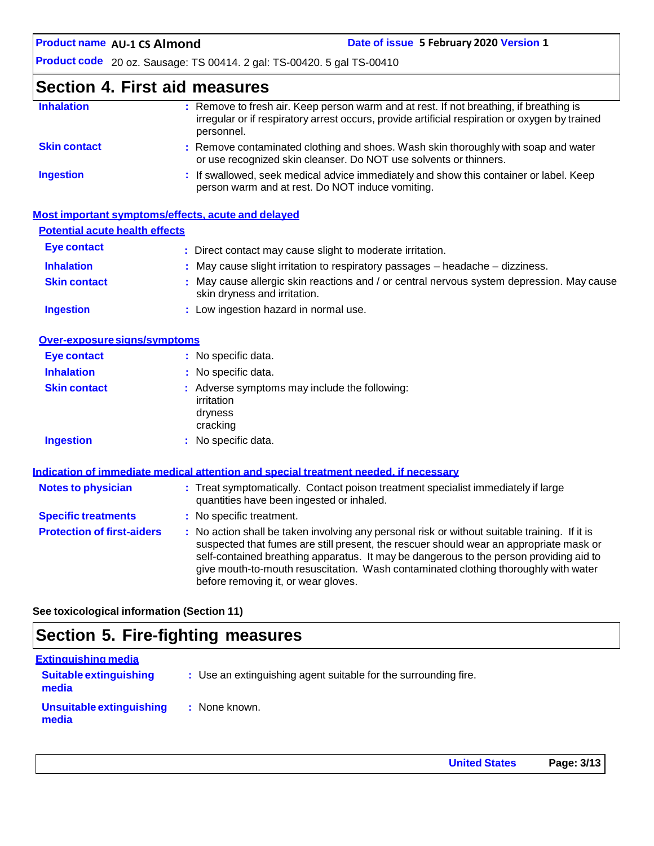# **Section 4. First aid measures**

| <b>Inhalation</b>   | : Remove to fresh air. Keep person warm and at rest. If not breathing, if breathing is<br>irregular or if respiratory arrest occurs, provide artificial respiration or oxygen by trained<br>personnel. |
|---------------------|--------------------------------------------------------------------------------------------------------------------------------------------------------------------------------------------------------|
| <b>Skin contact</b> | : Remove contaminated clothing and shoes. Wash skin thoroughly with soap and water<br>or use recognized skin cleanser. Do NOT use solvents or thinners.                                                |
| <b>Ingestion</b>    | : If swallowed, seek medical advice immediately and show this container or label. Keep<br>person warm and at rest. Do NOT induce vomiting.                                                             |

|                                       | Most important symptoms/effects, acute and delayed                                                                        |
|---------------------------------------|---------------------------------------------------------------------------------------------------------------------------|
| <b>Potential acute health effects</b> |                                                                                                                           |
| Eye contact                           | : Direct contact may cause slight to moderate irritation.                                                                 |
| <b>Inhalation</b>                     | $\therefore$ May cause slight irritation to respiratory passages $-$ headache $-$ dizziness.                              |
| <b>Skin contact</b>                   | : May cause allergic skin reactions and / or central nervous system depression. May cause<br>skin dryness and irritation. |
| <b>Ingestion</b>                      | : Low ingestion hazard in normal use.                                                                                     |

| Over-exposure signs/symptoms |                                                                                    |
|------------------------------|------------------------------------------------------------------------------------|
| Eye contact                  | : No specific data.                                                                |
| <b>Inhalation</b>            | : No specific data.                                                                |
| <b>Skin contact</b>          | : Adverse symptoms may include the following:<br>irritation<br>dryness<br>cracking |
| <b>Ingestion</b>             | : No specific data.                                                                |

|                                   | Indication of immediate medical attention and special treatment needed, if necessary                                                                                                                                                                                                                                                                                                                            |
|-----------------------------------|-----------------------------------------------------------------------------------------------------------------------------------------------------------------------------------------------------------------------------------------------------------------------------------------------------------------------------------------------------------------------------------------------------------------|
| <b>Notes to physician</b>         | : Treat symptomatically. Contact poison treatment specialist immediately if large<br>quantities have been ingested or inhaled.                                                                                                                                                                                                                                                                                  |
| <b>Specific treatments</b>        | : No specific treatment.                                                                                                                                                                                                                                                                                                                                                                                        |
| <b>Protection of first-aiders</b> | : No action shall be taken involving any personal risk or without suitable training. If it is<br>suspected that fumes are still present, the rescuer should wear an appropriate mask or<br>self-contained breathing apparatus. It may be dangerous to the person providing aid to<br>give mouth-to-mouth resuscitation. Wash contaminated clothing thoroughly with water<br>before removing it, or wear gloves. |

**See toxicological information (Section 11)**

# **Section 5. Fire-fighting measures**

| <b>Extinguishing media</b>             |                                                                 |
|----------------------------------------|-----------------------------------------------------------------|
| <b>Suitable extinguishing</b><br>media | : Use an extinguishing agent suitable for the surrounding fire. |
| Unsuitable extinguishing<br>media      | : None known.                                                   |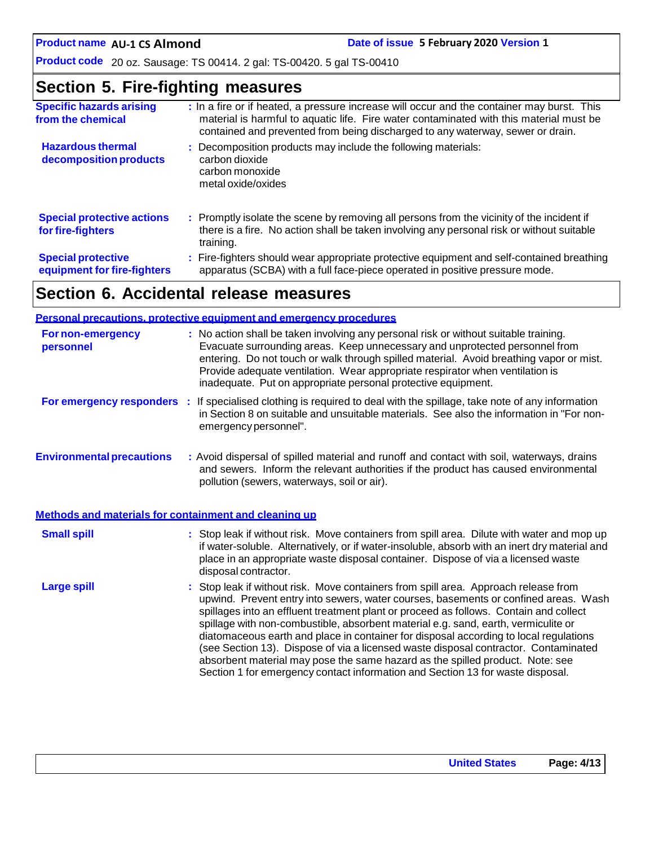# **Section 5. Fire-fighting measures**

| <b>Specific hazards arising</b><br>from the chemical     | : In a fire or if heated, a pressure increase will occur and the container may burst. This<br>material is harmful to aquatic life. Fire water contaminated with this material must be<br>contained and prevented from being discharged to any waterway, sewer or drain. |
|----------------------------------------------------------|-------------------------------------------------------------------------------------------------------------------------------------------------------------------------------------------------------------------------------------------------------------------------|
| <b>Hazardous thermal</b><br>decomposition products       | : Decomposition products may include the following materials:<br>carbon dioxide<br>carbon monoxide<br>metal oxide/oxides                                                                                                                                                |
| <b>Special protective actions</b><br>for fire-fighters   | : Promptly isolate the scene by removing all persons from the vicinity of the incident if<br>there is a fire. No action shall be taken involving any personal risk or without suitable<br>training.                                                                     |
| <b>Special protective</b><br>equipment for fire-fighters | : Fire-fighters should wear appropriate protective equipment and self-contained breathing<br>apparatus (SCBA) with a full face-piece operated in positive pressure mode.                                                                                                |

# **Section 6. Accidental release measures**

|                                                       | <b>Personal precautions, protective equipment and emergency procedures</b>                                                                                                                                                                                                                                                                                                                                                                                                                                                                                                                                                                                                                                   |
|-------------------------------------------------------|--------------------------------------------------------------------------------------------------------------------------------------------------------------------------------------------------------------------------------------------------------------------------------------------------------------------------------------------------------------------------------------------------------------------------------------------------------------------------------------------------------------------------------------------------------------------------------------------------------------------------------------------------------------------------------------------------------------|
| <b>For non-emergency</b><br>personnel                 | : No action shall be taken involving any personal risk or without suitable training.<br>Evacuate surrounding areas. Keep unnecessary and unprotected personnel from<br>entering. Do not touch or walk through spilled material. Avoid breathing vapor or mist.<br>Provide adequate ventilation. Wear appropriate respirator when ventilation is<br>inadequate. Put on appropriate personal protective equipment.                                                                                                                                                                                                                                                                                             |
|                                                       | For emergency responders : If specialised clothing is required to deal with the spillage, take note of any information<br>in Section 8 on suitable and unsuitable materials. See also the information in "For non-<br>emergency personnel".                                                                                                                                                                                                                                                                                                                                                                                                                                                                  |
| <b>Environmental precautions</b>                      | : Avoid dispersal of spilled material and runoff and contact with soil, waterways, drains<br>and sewers. Inform the relevant authorities if the product has caused environmental<br>pollution (sewers, waterways, soil or air).                                                                                                                                                                                                                                                                                                                                                                                                                                                                              |
| Methods and materials for containment and cleaning up |                                                                                                                                                                                                                                                                                                                                                                                                                                                                                                                                                                                                                                                                                                              |
| <b>Small spill</b>                                    | : Stop leak if without risk. Move containers from spill area. Dilute with water and mop up<br>if water-soluble. Alternatively, or if water-insoluble, absorb with an inert dry material and<br>place in an appropriate waste disposal container. Dispose of via a licensed waste<br>disposal contractor.                                                                                                                                                                                                                                                                                                                                                                                                     |
| <b>Large spill</b>                                    | : Stop leak if without risk. Move containers from spill area. Approach release from<br>upwind. Prevent entry into sewers, water courses, basements or confined areas. Wash<br>spillages into an effluent treatment plant or proceed as follows. Contain and collect<br>spillage with non-combustible, absorbent material e.g. sand, earth, vermiculite or<br>diatomaceous earth and place in container for disposal according to local regulations<br>(see Section 13). Dispose of via a licensed waste disposal contractor. Contaminated<br>absorbent material may pose the same hazard as the spilled product. Note: see<br>Section 1 for emergency contact information and Section 13 for waste disposal. |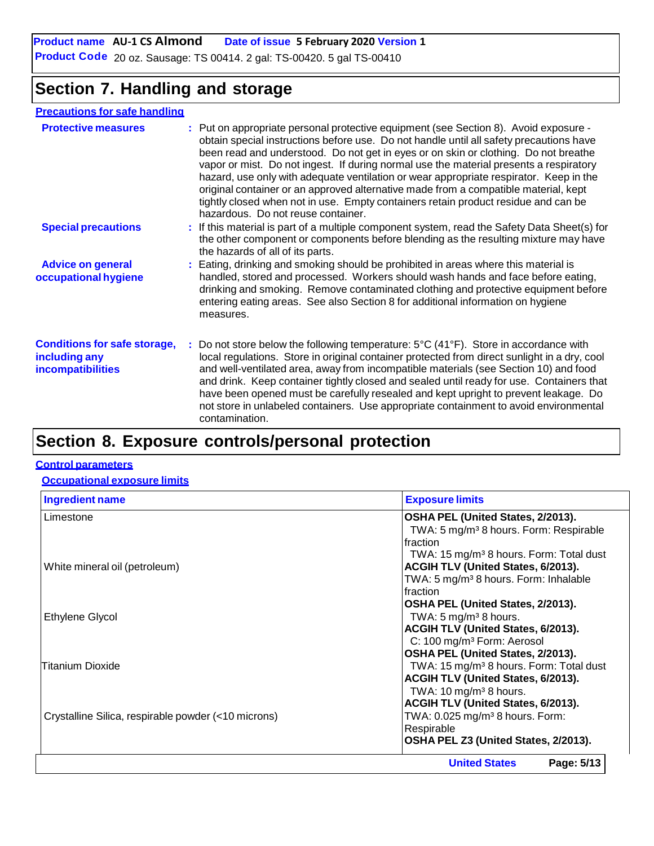# **Section 7. Handling and storage**

#### **Precautions for safe handling**

| <b>Protective measures</b>                                                       | : Put on appropriate personal protective equipment (see Section 8). Avoid exposure -<br>obtain special instructions before use. Do not handle until all safety precautions have<br>been read and understood. Do not get in eyes or on skin or clothing. Do not breathe<br>vapor or mist. Do not ingest. If during normal use the material presents a respiratory<br>hazard, use only with adequate ventilation or wear appropriate respirator. Keep in the<br>original container or an approved alternative made from a compatible material, kept<br>tightly closed when not in use. Empty containers retain product residue and can be<br>hazardous. Do not reuse container. |
|----------------------------------------------------------------------------------|-------------------------------------------------------------------------------------------------------------------------------------------------------------------------------------------------------------------------------------------------------------------------------------------------------------------------------------------------------------------------------------------------------------------------------------------------------------------------------------------------------------------------------------------------------------------------------------------------------------------------------------------------------------------------------|
| <b>Special precautions</b>                                                       | : If this material is part of a multiple component system, read the Safety Data Sheet(s) for<br>the other component or components before blending as the resulting mixture may have<br>the hazards of all of its parts.                                                                                                                                                                                                                                                                                                                                                                                                                                                       |
| <b>Advice on general</b><br>occupational hygiene                                 | : Eating, drinking and smoking should be prohibited in areas where this material is<br>handled, stored and processed. Workers should wash hands and face before eating,<br>drinking and smoking. Remove contaminated clothing and protective equipment before<br>entering eating areas. See also Section 8 for additional information on hygiene<br>measures.                                                                                                                                                                                                                                                                                                                 |
| <b>Conditions for safe storage,</b><br>including any<br><b>incompatibilities</b> | : Do not store below the following temperature: $5^{\circ}C(41^{\circ}F)$ . Store in accordance with<br>local regulations. Store in original container protected from direct sunlight in a dry, cool<br>and well-ventilated area, away from incompatible materials (see Section 10) and food<br>and drink. Keep container tightly closed and sealed until ready for use. Containers that<br>have been opened must be carefully resealed and kept upright to prevent leakage. Do<br>not store in unlabeled containers. Use appropriate containment to avoid environmental<br>contamination.                                                                                    |
|                                                                                  |                                                                                                                                                                                                                                                                                                                                                                                                                                                                                                                                                                                                                                                                               |

# **Section 8. Exposure controls/personal protection**

#### **Control parameters**

#### **Occupational exposure limits**

| <b>Ingredient name</b>                              | <b>Exposure limits</b>                              |
|-----------------------------------------------------|-----------------------------------------------------|
| Limestone                                           | OSHA PEL (United States, 2/2013).                   |
|                                                     | TWA: 5 mg/m <sup>3</sup> 8 hours. Form: Respirable  |
|                                                     | Ifraction                                           |
|                                                     | TWA: 15 mg/m <sup>3</sup> 8 hours. Form: Total dust |
| White mineral oil (petroleum)                       | <b>ACGIH TLV (United States, 6/2013).</b>           |
|                                                     | TWA: 5 mg/m <sup>3</sup> 8 hours. Form: Inhalable   |
|                                                     | Ifraction                                           |
|                                                     | OSHA PEL (United States, 2/2013).                   |
| <b>Ethylene Glycol</b>                              | TWA: $5 \text{ mg/m}^3$ 8 hours.                    |
|                                                     | ACGIH TLV (United States, 6/2013).                  |
|                                                     | C: 100 mg/m <sup>3</sup> Form: Aerosol              |
|                                                     | OSHA PEL (United States, 2/2013).                   |
| Titanium Dioxide                                    | TWA: 15 mg/m <sup>3</sup> 8 hours. Form: Total dust |
|                                                     | ACGIH TLV (United States, 6/2013).                  |
|                                                     | TWA: $10 \text{ mg/m}^3$ 8 hours.                   |
|                                                     | ACGIH TLV (United States, 6/2013).                  |
| Crystalline Silica, respirable powder (<10 microns) | TWA: 0.025 mg/m <sup>3</sup> 8 hours. Form:         |
|                                                     | Respirable                                          |
|                                                     | OSHA PEL Z3 (United States, 2/2013).                |
|                                                     | Page: 5/13<br><b>United States</b>                  |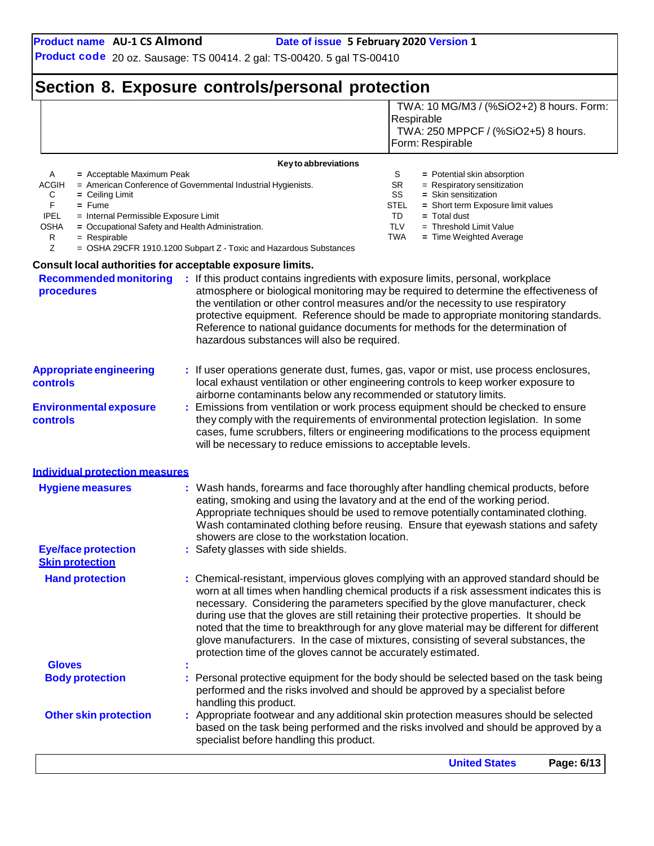TWA: 10 MG/M3 / (%SiO2+2) 8 hours. Form:

**Product code** 20 oz. Sausage: TS 00414. 2 gal: TS-00420. 5 gal TS-00410

# **Section 8. Exposure controls/personal protection**

|                                                                                             | specialist before handling this product.                                                                                                                                                                             |                                                                                                                                                                                                                                                                                                                                                                   |
|---------------------------------------------------------------------------------------------|----------------------------------------------------------------------------------------------------------------------------------------------------------------------------------------------------------------------|-------------------------------------------------------------------------------------------------------------------------------------------------------------------------------------------------------------------------------------------------------------------------------------------------------------------------------------------------------------------|
| <b>Other skin protection</b>                                                                |                                                                                                                                                                                                                      | : Appropriate footwear and any additional skin protection measures should be selected<br>based on the task being performed and the risks involved and should be approved by a                                                                                                                                                                                     |
| <b>Body protection</b>                                                                      | performed and the risks involved and should be approved by a specialist before<br>handling this product.                                                                                                             | Personal protective equipment for the body should be selected based on the task being                                                                                                                                                                                                                                                                             |
|                                                                                             |                                                                                                                                                                                                                      |                                                                                                                                                                                                                                                                                                                                                                   |
| <b>Gloves</b>                                                                               | protection time of the gloves cannot be accurately estimated.                                                                                                                                                        | noted that the time to breakthrough for any glove material may be different for different<br>glove manufacturers. In the case of mixtures, consisting of several substances, the                                                                                                                                                                                  |
| <b>Hand protection</b>                                                                      |                                                                                                                                                                                                                      | : Chemical-resistant, impervious gloves complying with an approved standard should be<br>worn at all times when handling chemical products if a risk assessment indicates this is<br>necessary. Considering the parameters specified by the glove manufacturer, check<br>during use that the gloves are still retaining their protective properties. It should be |
| <b>Eye/face protection</b><br><b>Skin protection</b>                                        | eating, smoking and using the lavatory and at the end of the working period.<br>showers are close to the workstation location.<br>: Safety glasses with side shields.                                                | Appropriate techniques should be used to remove potentially contaminated clothing.<br>Wash contaminated clothing before reusing. Ensure that eyewash stations and safety                                                                                                                                                                                          |
| <b>Hygiene measures</b>                                                                     |                                                                                                                                                                                                                      | Wash hands, forearms and face thoroughly after handling chemical products, before                                                                                                                                                                                                                                                                                 |
| <b>Individual protection measures</b>                                                       |                                                                                                                                                                                                                      |                                                                                                                                                                                                                                                                                                                                                                   |
| controls                                                                                    | will be necessary to reduce emissions to acceptable levels.                                                                                                                                                          | they comply with the requirements of environmental protection legislation. In some<br>cases, fume scrubbers, filters or engineering modifications to the process equipment                                                                                                                                                                                        |
| <b>Environmental exposure</b>                                                               | airborne contaminants below any recommended or statutory limits.                                                                                                                                                     | : Emissions from ventilation or work process equipment should be checked to ensure                                                                                                                                                                                                                                                                                |
| <b>Appropriate engineering</b><br>controls                                                  |                                                                                                                                                                                                                      | : If user operations generate dust, fumes, gas, vapor or mist, use process enclosures,<br>local exhaust ventilation or other engineering controls to keep worker exposure to                                                                                                                                                                                      |
| <b>Recommended monitoring</b><br>procedures                                                 | : If this product contains ingredients with exposure limits, personal, workplace<br>the ventilation or other control measures and/or the necessity to use respiratory<br>hazardous substances will also be required. | atmosphere or biological monitoring may be required to determine the effectiveness of<br>protective equipment. Reference should be made to appropriate monitoring standards.<br>Reference to national guidance documents for methods for the determination of                                                                                                     |
| Consult local authorities for acceptable exposure limits.                                   |                                                                                                                                                                                                                      |                                                                                                                                                                                                                                                                                                                                                                   |
| <b>OSHA</b><br>= Occupational Safety and Health Administration.<br>R<br>$=$ Respirable<br>Z | = OSHA 29CFR 1910.1200 Subpart Z - Toxic and Hazardous Substances                                                                                                                                                    | <b>TLV</b><br>$=$ Threshold Limit Value<br>TWA<br>= Time Weighted Average                                                                                                                                                                                                                                                                                         |
| <b>IPEL</b><br>= Internal Permissible Exposure Limit                                        |                                                                                                                                                                                                                      | = Short term Exposure limit values<br>TD<br>$=$ Total dust                                                                                                                                                                                                                                                                                                        |
| С<br>$=$ Ceiling Limit<br>F.<br>$=$ Fume                                                    |                                                                                                                                                                                                                      | = Respiratory sensitization<br>SS<br>$=$ Skin sensitization<br>STEL                                                                                                                                                                                                                                                                                               |
| A<br>= Acceptable Maximum Peak<br>ACGIH                                                     | = American Conference of Governmental Industrial Hygienists.                                                                                                                                                         | S<br>$=$ Potential skin absorption<br>SR                                                                                                                                                                                                                                                                                                                          |
|                                                                                             | Key to abbreviations                                                                                                                                                                                                 |                                                                                                                                                                                                                                                                                                                                                                   |
|                                                                                             |                                                                                                                                                                                                                      | Form: Respirable                                                                                                                                                                                                                                                                                                                                                  |
|                                                                                             |                                                                                                                                                                                                                      | Respirable<br>TWA: 250 MPPCF / (%SiO2+5) 8 hours.                                                                                                                                                                                                                                                                                                                 |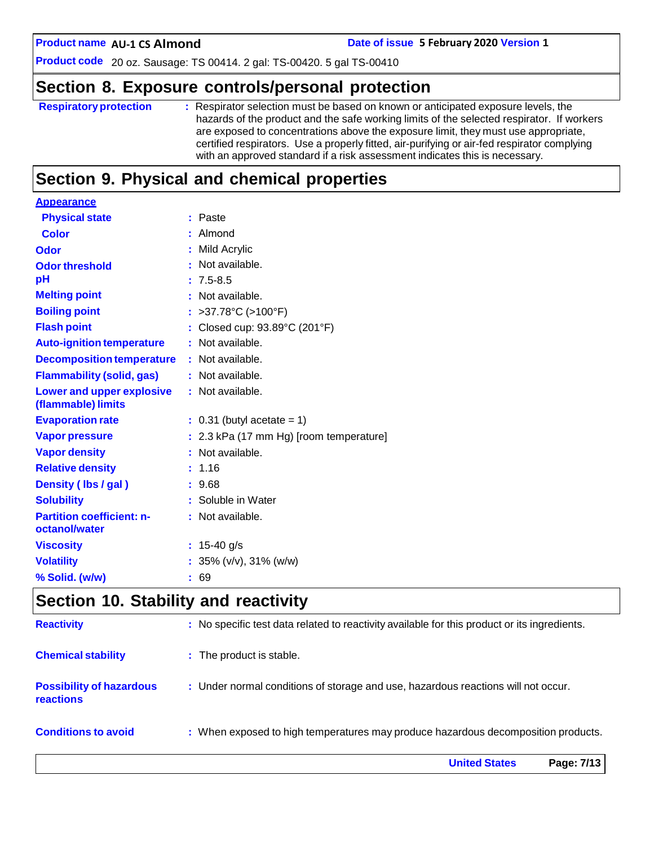**AU-1 CS Almond Date of issue 5 February 2020 Version 1**

**Product code** 20 oz. Sausage: TS 00414. 2 gal: TS-00420. 5 gal TS-00410

# **Section 8. Exposure controls/personal protection**

| <b>Respiratory protection</b> | : Respirator selection must be based on known or anticipated exposure levels, the<br>hazards of the product and the safe working limits of the selected respirator. If workers<br>are exposed to concentrations above the exposure limit, they must use appropriate,<br>certified respirators. Use a properly fitted, air-purifying or air-fed respirator complying<br>with an approved standard if a risk assessment indicates this is necessary. |
|-------------------------------|----------------------------------------------------------------------------------------------------------------------------------------------------------------------------------------------------------------------------------------------------------------------------------------------------------------------------------------------------------------------------------------------------------------------------------------------------|
|                               |                                                                                                                                                                                                                                                                                                                                                                                                                                                    |

# **Section 9. Physical and chemical properties**

| <b>Appearance</b>                                      |                                           |
|--------------------------------------------------------|-------------------------------------------|
| <b>Physical state</b>                                  | : Paste                                   |
| <b>Color</b>                                           | : Almond                                  |
| Odor                                                   | : Mild Acrylic                            |
| <b>Odor threshold</b>                                  | : Not available.                          |
| pH                                                     | $: 7.5 - 8.5$                             |
| <b>Melting point</b>                                   | : Not available.                          |
| <b>Boiling point</b>                                   | : >37.78 $^{\circ}$ C (>100 $^{\circ}$ F) |
| <b>Flash point</b>                                     | : Closed cup: 93.89°C (201°F)             |
| <b>Auto-ignition temperature</b>                       | : Not available.                          |
| <b>Decomposition temperature</b>                       | : Not available.                          |
| <b>Flammability (solid, gas)</b>                       | : Not available.                          |
| <b>Lower and upper explosive</b><br>(flammable) limits | : Not available.                          |
| <b>Evaporation rate</b>                                | $: 0.31$ (butyl acetate = 1)              |
| <b>Vapor pressure</b>                                  | : 2.3 kPa (17 mm Hg) [room temperature]   |
| <b>Vapor density</b>                                   | : Not available.                          |
| <b>Relative density</b>                                | : 1.16                                    |
| Density (Ibs / gal)                                    | : 9.68                                    |
| <b>Solubility</b>                                      | : Soluble in Water                        |
| <b>Partition coefficient: n-</b>                       | : Not available.                          |
| octanol/water                                          |                                           |
| <b>Viscosity</b>                                       | : $15-40$ g/s                             |
| <b>Volatility</b>                                      | : $35\%$ (v/v), $31\%$ (w/w)              |
| % Solid. (w/w)                                         | : 69                                      |
|                                                        |                                           |

# **Section 10. Stability and reactivity**

|                                                     | <b>United States</b><br>Page: 7/13                                                           |
|-----------------------------------------------------|----------------------------------------------------------------------------------------------|
| <b>Conditions to avoid</b>                          | : When exposed to high temperatures may produce hazardous decomposition products.            |
| <b>Possibility of hazardous</b><br><b>reactions</b> | : Under normal conditions of storage and use, hazardous reactions will not occur.            |
| <b>Chemical stability</b>                           | : The product is stable.                                                                     |
| <b>Reactivity</b>                                   | : No specific test data related to reactivity available for this product or its ingredients. |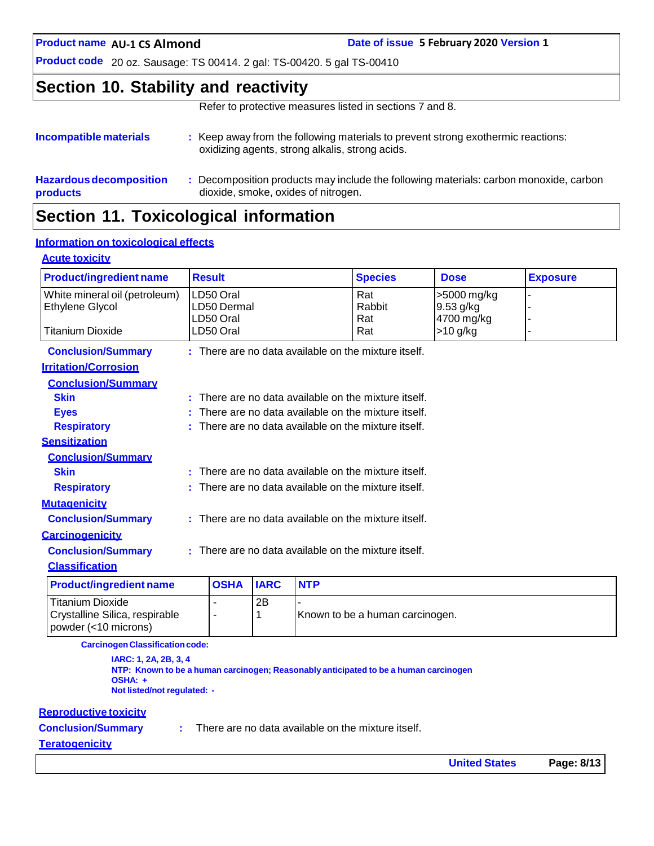**AU-1 CS Almond Date of issue 5 February 2020 Version 1**

**Product code** 20 oz. Sausage: TS 00414. 2 gal: TS-00420. 5 gal TS-00410

### **Section 10. Stability and reactivity**

Refer to protective measures listed in sections 7 and 8.

| Incompatible materials                     | : Keep away from the following materials to prevent strong exothermic reactions:<br>oxidizing agents, strong alkalis, strong acids. |
|--------------------------------------------|-------------------------------------------------------------------------------------------------------------------------------------|
| <b>Hazardous decomposition</b><br>products | Decomposition products may include the following materials: carbon monoxide, carbon<br>dioxide, smoke, oxides of nitrogen.          |
|                                            |                                                                                                                                     |

# **Section 11. Toxicological information**

#### **Information on toxicological effects**

#### **Acute toxicity**

| <b>Product/ingredient name</b> |                                                      | <b>Result</b>                                          |             |            | <b>Species</b>                                         | <b>Dose</b> | <b>Exposure</b> |
|--------------------------------|------------------------------------------------------|--------------------------------------------------------|-------------|------------|--------------------------------------------------------|-------------|-----------------|
| White mineral oil (petroleum)  |                                                      | LD50 Oral                                              |             |            | Rat                                                    | >5000 mg/kg |                 |
| Ethylene Glycol                |                                                      | LD50 Dermal                                            |             |            | Rabbit                                                 | 9.53 g/kg   |                 |
| <b>Titanium Dioxide</b>        |                                                      | LD50 Oral<br>LD50 Oral                                 |             |            | Rat<br>Rat                                             | 4700 mg/kg  |                 |
|                                |                                                      |                                                        |             |            |                                                        | $>10$ g/kg  |                 |
| <b>Conclusion/Summary</b>      |                                                      |                                                        |             |            | $:$ There are no data available on the mixture itself. |             |                 |
| <b>Irritation/Corrosion</b>    |                                                      |                                                        |             |            |                                                        |             |                 |
| <b>Conclusion/Summary</b>      |                                                      |                                                        |             |            |                                                        |             |                 |
| <b>Skin</b>                    |                                                      |                                                        |             |            | $:$ There are no data available on the mixture itself. |             |                 |
| <b>Eyes</b>                    |                                                      |                                                        |             |            | There are no data available on the mixture itself.     |             |                 |
| <b>Respiratory</b>             |                                                      |                                                        |             |            | : There are no data available on the mixture itself.   |             |                 |
| <b>Sensitization</b>           |                                                      |                                                        |             |            |                                                        |             |                 |
| <b>Conclusion/Summary</b>      |                                                      |                                                        |             |            |                                                        |             |                 |
| <b>Skin</b>                    |                                                      | There are no data available on the mixture itself.     |             |            |                                                        |             |                 |
| <b>Respiratory</b>             |                                                      | $:$ There are no data available on the mixture itself. |             |            |                                                        |             |                 |
| <b>Mutagenicity</b>            |                                                      |                                                        |             |            |                                                        |             |                 |
| <b>Conclusion/Summary</b>      | : There are no data available on the mixture itself. |                                                        |             |            |                                                        |             |                 |
| <b>Carcinogenicity</b>         |                                                      |                                                        |             |            |                                                        |             |                 |
| <b>Conclusion/Summary</b>      |                                                      |                                                        |             |            | $:$ There are no data available on the mixture itself. |             |                 |
| <b>Classification</b>          |                                                      |                                                        |             |            |                                                        |             |                 |
| <b>Product/ingredient name</b> |                                                      | <b>OSHA</b>                                            | <b>IARC</b> | <b>NTP</b> |                                                        |             |                 |
| <b>Titanium Dioxide</b>        |                                                      |                                                        | 2B          |            |                                                        |             |                 |
| Crystalline Silica, respirable |                                                      | 1<br>Known to be a human carcinogen.<br>$\blacksquare$ |             |            |                                                        |             |                 |

**CarcinogenClassificationcode:**

**IARC: 1, 2A, 2B, 3, 4 NTP: Known to be a human carcinogen; Reasonably anticipated to be a human carcinogen OSHA: + Not listed/not regulated: -**

#### **Reproductive toxicity**

powder (<10 microns)

**Conclusion/Summary :**

There are no data available on the mixture itself.

#### **Teratogenicity**

**United States Page: 8/13**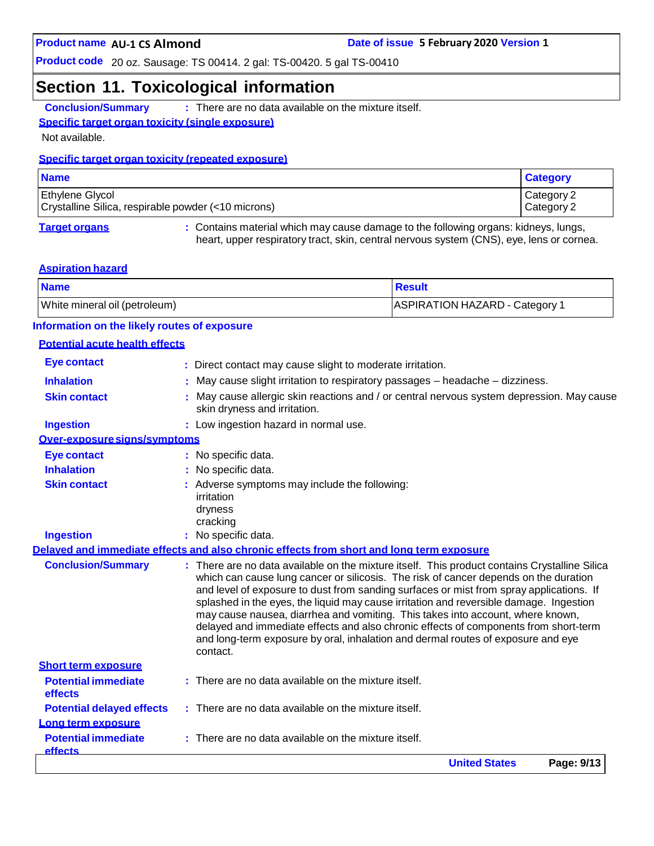### **Section 11. Toxicological information**

**Conclusion/Summary :** There are no data available on the mixture itself.

#### **Specific target organ toxicity (single exposure)**

Not available.

#### **Specific target organ toxicity (repeated exposure)**

| <b>Name</b>                                                                   | <b>Category</b>          |
|-------------------------------------------------------------------------------|--------------------------|
| <b>Ethylene Glycol</b><br>Crystalline Silica, respirable powder (<10 microns) | Category 2<br>Category 2 |
|                                                                               |                          |

**Target organs :** Contains material which may cause damage to the following organs: kidneys, lungs, heart, upper respiratory tract, skin, central nervous system (CNS), eye, lens or cornea.

#### **Aspiration hazard**

| <b>Name</b>                   | <b>Result</b>                  |
|-------------------------------|--------------------------------|
| White mineral oil (petroleum) | ASPIRATION HAZARD - Category 1 |

#### **Information on the likely routes of exposure**

#### **Potential acute health effects**

|                                              | <b>United States</b><br>Page: 9/13                                                                                                                                                                                                                                                                                                                                                                                                                                                                                                                                                                                                       |
|----------------------------------------------|------------------------------------------------------------------------------------------------------------------------------------------------------------------------------------------------------------------------------------------------------------------------------------------------------------------------------------------------------------------------------------------------------------------------------------------------------------------------------------------------------------------------------------------------------------------------------------------------------------------------------------------|
| <b>Potential immediate</b><br><b>effects</b> | There are no data available on the mixture itself.                                                                                                                                                                                                                                                                                                                                                                                                                                                                                                                                                                                       |
| Long term exposure                           |                                                                                                                                                                                                                                                                                                                                                                                                                                                                                                                                                                                                                                          |
| <b>Potential delayed effects</b>             | : There are no data available on the mixture itself.                                                                                                                                                                                                                                                                                                                                                                                                                                                                                                                                                                                     |
| effects                                      |                                                                                                                                                                                                                                                                                                                                                                                                                                                                                                                                                                                                                                          |
| <b>Potential immediate</b>                   | $:$ There are no data available on the mixture itself.                                                                                                                                                                                                                                                                                                                                                                                                                                                                                                                                                                                   |
| <b>Short term exposure</b>                   | contact.                                                                                                                                                                                                                                                                                                                                                                                                                                                                                                                                                                                                                                 |
| <b>Conclusion/Summary</b>                    | : There are no data available on the mixture itself. This product contains Crystalline Silica<br>which can cause lung cancer or silicosis. The risk of cancer depends on the duration<br>and level of exposure to dust from sanding surfaces or mist from spray applications. If<br>splashed in the eyes, the liquid may cause irritation and reversible damage. Ingestion<br>may cause nausea, diarrhea and vomiting. This takes into account, where known,<br>delayed and immediate effects and also chronic effects of components from short-term<br>and long-term exposure by oral, inhalation and dermal routes of exposure and eye |
|                                              | Delaved and immediate effects and also chronic effects from short and long term exposure                                                                                                                                                                                                                                                                                                                                                                                                                                                                                                                                                 |
| <b>Ingestion</b>                             | : No specific data.                                                                                                                                                                                                                                                                                                                                                                                                                                                                                                                                                                                                                      |
|                                              | irritation<br>dryness<br>cracking                                                                                                                                                                                                                                                                                                                                                                                                                                                                                                                                                                                                        |
| <b>Skin contact</b>                          | : Adverse symptoms may include the following:                                                                                                                                                                                                                                                                                                                                                                                                                                                                                                                                                                                            |
| <b>Inhalation</b>                            | No specific data.                                                                                                                                                                                                                                                                                                                                                                                                                                                                                                                                                                                                                        |
| <b>Eye contact</b>                           | : No specific data.                                                                                                                                                                                                                                                                                                                                                                                                                                                                                                                                                                                                                      |
| Over-exposure signs/symptoms                 |                                                                                                                                                                                                                                                                                                                                                                                                                                                                                                                                                                                                                                          |
| <b>Ingestion</b>                             | : Low ingestion hazard in normal use.                                                                                                                                                                                                                                                                                                                                                                                                                                                                                                                                                                                                    |
| <b>Skin contact</b>                          | May cause allergic skin reactions and / or central nervous system depression. May cause<br>skin dryness and irritation.                                                                                                                                                                                                                                                                                                                                                                                                                                                                                                                  |
| <b>Inhalation</b>                            | May cause slight irritation to respiratory passages - headache - dizziness.                                                                                                                                                                                                                                                                                                                                                                                                                                                                                                                                                              |
| <b>Eye contact</b>                           | : Direct contact may cause slight to moderate irritation.                                                                                                                                                                                                                                                                                                                                                                                                                                                                                                                                                                                |
|                                              |                                                                                                                                                                                                                                                                                                                                                                                                                                                                                                                                                                                                                                          |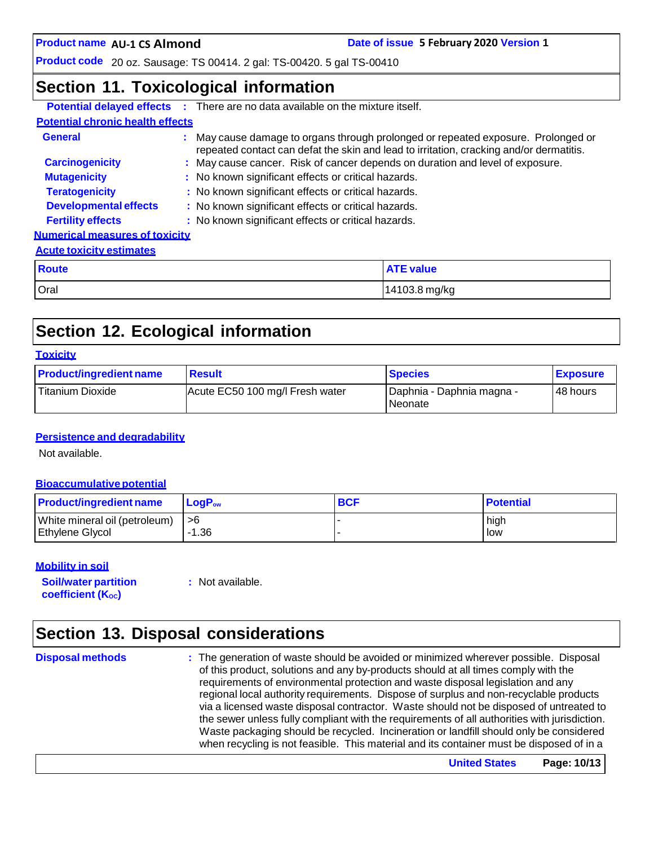**Date of issue 5 February 2020 Version 1** 

**Product code** 20 oz. Sausage: TS 00414. 2 gal: TS-00420. 5 gal TS-00410

### **Section 11. Toxicological information**

|                                         | <b>Potential delayed effects</b> : There are no data available on the mixture itself. |                                                                                                                                                                              |  |  |
|-----------------------------------------|---------------------------------------------------------------------------------------|------------------------------------------------------------------------------------------------------------------------------------------------------------------------------|--|--|
| <b>Potential chronic health effects</b> |                                                                                       |                                                                                                                                                                              |  |  |
| General                                 |                                                                                       | : May cause damage to organs through prolonged or repeated exposure. Prolonged or<br>repeated contact can defat the skin and lead to irritation, cracking and/or dermatitis. |  |  |
| <b>Carcinogenicity</b>                  |                                                                                       | : May cause cancer. Risk of cancer depends on duration and level of exposure.                                                                                                |  |  |
| <b>Mutagenicity</b>                     |                                                                                       | : No known significant effects or critical hazards.                                                                                                                          |  |  |
| <b>Teratogenicity</b>                   | : No known significant effects or critical hazards.                                   |                                                                                                                                                                              |  |  |
| <b>Developmental effects</b>            | : No known significant effects or critical hazards.                                   |                                                                                                                                                                              |  |  |
| <b>Fertility effects</b>                | : No known significant effects or critical hazards.                                   |                                                                                                                                                                              |  |  |
| <b>Numerical measures of toxicity</b>   |                                                                                       |                                                                                                                                                                              |  |  |
| <b>Acute toxicity estimates</b>         |                                                                                       |                                                                                                                                                                              |  |  |
| <b>Route</b>                            |                                                                                       | <b>ATE value</b>                                                                                                                                                             |  |  |
| Oral                                    |                                                                                       | 14103.8 mg/kg                                                                                                                                                                |  |  |

# **Section 12. Ecological information**

#### **Toxicity**

| <b>Product/ingredient name</b> | <b>Result</b>                   | <b>Species</b>                         | <b>Exposure</b> |
|--------------------------------|---------------------------------|----------------------------------------|-----------------|
| Titanium Dioxide               | Acute EC50 100 mg/l Fresh water | I Daphnia - Daphnia magna -<br>Neonate | 48 hours        |

#### **Persistence and degradability**

Not available.

#### **Bioaccumulative potential**

| <b>Product/ingredient name</b> | $\mathsf{LogP}_\mathsf{ow}$ | <b>BCF</b> | <b>Potential</b> |
|--------------------------------|-----------------------------|------------|------------------|
| White mineral oil (petroleum)  | l >6                        |            | high             |
| Ethylene Glycol                | 1.36                        |            | low              |

#### **Mobility in soil**

**Soil/water partition coefficient** (K<sub>oc</sub>)

**:** Not available.

# **Section 13. Disposal considerations**

**Disposal methods :** The generation of waste should be avoided or minimized wherever possible. Disposal of this product, solutions and any by-products should at all times comply with the requirements of environmental protection and waste disposal legislation and any regional local authority requirements. Dispose of surplus and non-recyclable products via a licensed waste disposal contractor. Waste should not be disposed of untreated to the sewer unless fully compliant with the requirements of all authorities with jurisdiction. Waste packaging should be recycled. Incineration or landfill should only be considered when recycling is not feasible. This material and its container must be disposed of in a

**United States Page: 10/13**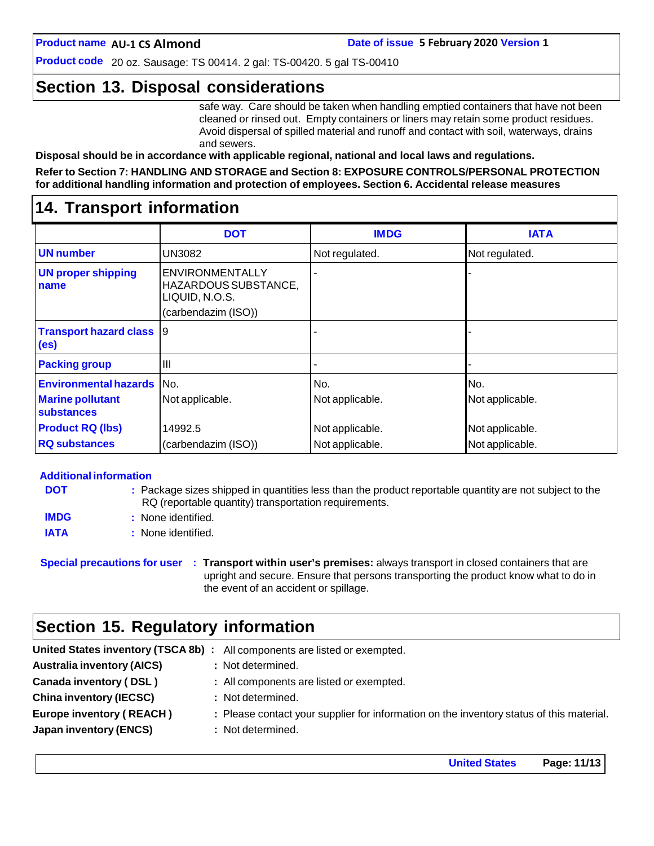**Product code** 20 oz. Sausage: TS 00414. 2 gal: TS-00420. 5 gal TS-00410

### **Section 13. Disposal considerations**

safe way. Care should be taken when handling emptied containers that have not been cleaned or rinsed out. Empty containers or liners may retain some product residues. Avoid dispersal of spilled material and runoff and contact with soil, waterways, drains and sewers.

**Disposal should be in accordance with applicable regional, national and local laws and regulations.**

**Refer to Section 7: HANDLING AND STORAGE and Section 8: EXPOSURE CONTROLS/PERSONAL PROTECTION for additional handling information and protection of employees. Section 6. Accidental release measures**

### **14. Transport information**

|                                                      | <b>DOT</b>                                                                              | <b>IMDG</b>     | <b>IATA</b>     |
|------------------------------------------------------|-----------------------------------------------------------------------------------------|-----------------|-----------------|
| <b>UN number</b>                                     | UN3082                                                                                  | Not regulated.  | Not regulated.  |
| <b>UN proper shipping</b><br>name                    | <b>ENVIRONMENTALLY</b><br>HAZARDOUS SUBSTANCE,<br>LIQUID, N.O.S.<br>(carbendazim (ISO)) |                 |                 |
| <b>Transport hazard class</b> 9<br>(e <sub>s</sub> ) |                                                                                         |                 |                 |
| <b>Packing group</b>                                 | Ш                                                                                       |                 |                 |
| <b>Environmental hazards</b> No.                     |                                                                                         | No.             | No.             |
| <b>Marine pollutant</b><br>substances                | Not applicable.                                                                         | Not applicable. | Not applicable. |
| <b>Product RQ (lbs)</b>                              | 14992.5                                                                                 | Not applicable. | Not applicable. |
| <b>RQ substances</b>                                 | (carbendazim (ISO))                                                                     | Not applicable. | Not applicable. |

#### **Additional information**

| <b>DOT</b>  | : Package sizes shipped in quantities less than the product reportable quantity are not subject to the<br>RQ (reportable quantity) transportation requirements. |
|-------------|-----------------------------------------------------------------------------------------------------------------------------------------------------------------|
| <b>IMDG</b> | : None identified.                                                                                                                                              |
| <b>IATA</b> | : None identified.                                                                                                                                              |

**Special precautions for user : Transport within user's premises:** always transport in closed containers that are upright and secure. Ensure that persons transporting the product know what to do in the event of an accident or spillage.

### **Section 15. Regulatory information**

|                                   | United States inventory (TSCA 8b) : All components are listed or exempted.               |
|-----------------------------------|------------------------------------------------------------------------------------------|
| <b>Australia inventory (AICS)</b> | : Not determined.                                                                        |
| Canada inventory (DSL)            | : All components are listed or exempted.                                                 |
| <b>China inventory (IECSC)</b>    | : Not determined.                                                                        |
| <b>Europe inventory (REACH)</b>   | : Please contact your supplier for information on the inventory status of this material. |
| Japan inventory (ENCS)            | : Not determined.                                                                        |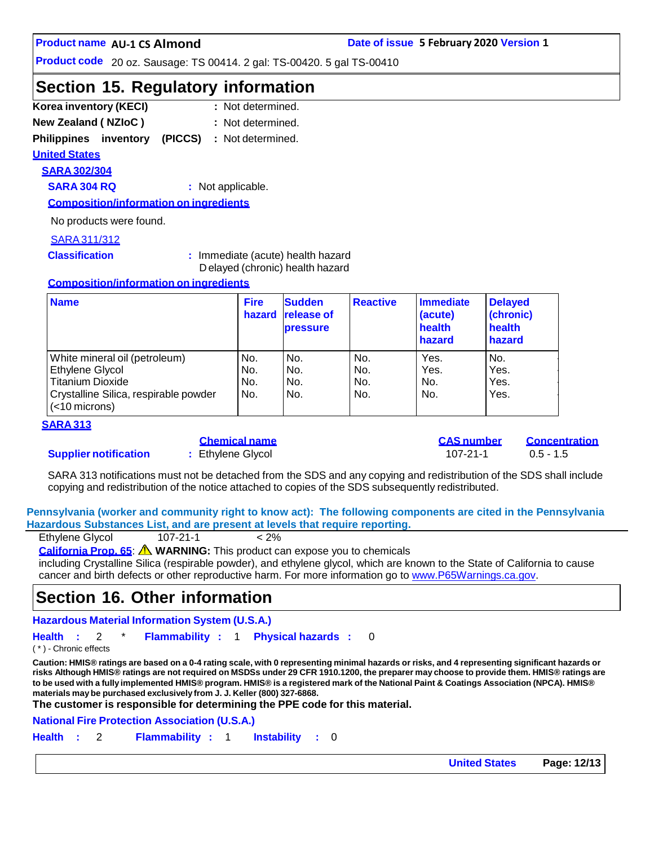**Product code** 20 oz. Sausage: TS 00414. 2 gal: TS-00420. 5 gal TS-00410

### **Section 15. Regulatory information**

- **Korea inventory (KECI) : New Zealand ( NZIoC ) :** : Not determined. : Not determined.
- **Philippines inventory (PICCS) :** Not determined.

**United States**

# **SARA 302/304**

**SARA 304 RQ :** Not applicable.

**Composition/information on ingredients**

No products were found.

#### SARA311/312

**Classification :** Immediate (acute) health hazard D elayed (chronic) health hazard

#### **Composition/information on ingredients**

| <b>Name</b>                                               | <b>Fire</b><br>hazard | <b>Sudden</b><br><b>release of</b><br><b>pressure</b> | <b>Reactive</b> | Immediate<br>(acute)<br>health<br>hazard | <b>Delayed</b><br>(chronic)<br>health<br>hazard |
|-----------------------------------------------------------|-----------------------|-------------------------------------------------------|-----------------|------------------------------------------|-------------------------------------------------|
| White mineral oil (petroleum)                             | No.                   | No.                                                   | No.             | Yes.                                     | No.                                             |
| Ethylene Glycol                                           | No.                   | No.                                                   | No.             | Yes.                                     | Yes.                                            |
| <b>Titanium Dioxide</b>                                   | No.                   | No.                                                   | No.             | No.                                      | Yes.                                            |
| Crystalline Silica, respirable powder<br>$(<$ 10 microns) | No.                   | No.                                                   | No.             | No.                                      | Yes.                                            |

#### **SARA 313**

#### **Supplier notification :** Ethylene Glycol 107-21-1 0.5 - 1.5

|  | <u>Chemical name</u> |  |
|--|----------------------|--|
|  | Ethylene Glycol      |  |

**Chemical name CAS number Concentration**

SARA 313 notifications must not be detached from the SDS and any copying and redistribution of the SDS shall include copying and redistribution of the notice attached to copies of the SDS subsequently redistributed.

**Pennsylvania (worker and community right to know act): The following components are cited in the Pennsylvania Hazardous Substances List, and are present at levels that require reporting.**

| Ethylene Glycol | $107 - 21 - 1$ | $< 2\%$ |
|-----------------|----------------|---------|

**California Prop. 65**: **WARNING:** This product can expose you to chemicals

including Crystalline Silica (respirable powder), and ethylene glycol, which are known to the State of California to cause cancer and birth defects or other reproductive harm. For more information go to [www.P65Warnings.ca.gov.](http://www.p65warnings.ca.gov/)

### **Section 16. Other information**

**Hazardous Material Information System (U.S.A.)**

**Health :** 2 \* **Flammability :** 1 **Physical hazards :** 0

( \* ) - Chronic effects

Caution: HMIS® ratings are based on a 0-4 rating scale, with 0 representing minimal hazards or risks, and 4 representing significant hazards or risks Although HMIS® ratings are not required on MSDSs under 29 CFR 1910.1200, the preparer may choose to provide them. HMIS® ratings are to be used with a fully implemented HMIS® program. HMIS® is a registered mark of the National Paint & Coatings Association (NPCA). HMIS® **materials maybe purchased exclusively from J. J. Keller (800) 327-6868.**

**The customer is responsible for determining the PPE code for this material.**

**National Fire Protection Association (U.S.A.)**

**Health :** 2 **Flammability :** 1 **Instability :** 0

**United States Page: 12/13**